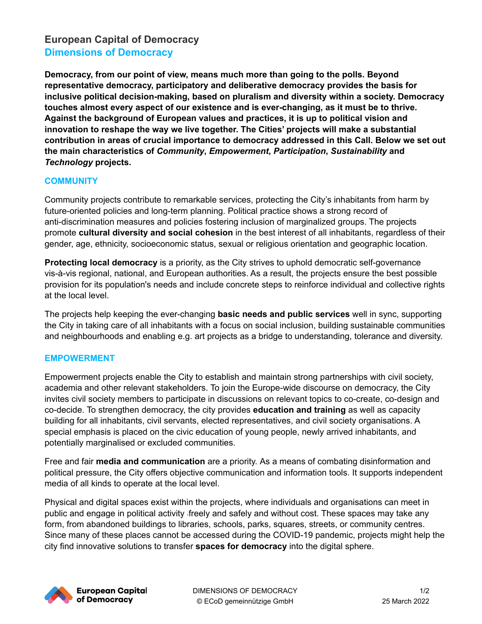# **European Capital of Democracy Dimensions of Democracy**

**Democracy, from our point of view, means much more than going to the polls. Beyond representative democracy, participatory and deliberative democracy provides the basis for inclusive political decision-making, based on pluralism and diversity within a society. Democracy touches almost every aspect of our existence and is ever-changing, as it must be to thrive. Against the background of European values and practices, it is up to political vision and innovation to reshape the way we live together. The Cities' projects will make a substantial contribution in areas of crucial importance to democracy addressed in this Call. Below we set out the main characteristics of** *Community***,** *Empowerment***,** *Participation***,** *Sustainability* **and** *Technology* **projects.**

## **COMMUNITY**

Community projects contribute to remarkable services, protecting the City's inhabitants from harm by future-oriented policies and long-term planning. Political practice shows a strong record of anti-discrimination measures and policies fostering inclusion of marginalized groups. The projects promote **cultural diversity and social cohesion** in the best interest of all inhabitants, regardless of their gender, age, ethnicity, socioeconomic status, sexual or religious orientation and geographic location.

**Protecting local democracy** is a priority, as the City strives to uphold democratic self-governance vis-à-vis regional, national, and European authorities. As a result, the projects ensure the best possible provision for its population's needs and include concrete steps to reinforce individual and collective rights at the local level.

The projects help keeping the ever-changing **basic needs and public services** well in sync, supporting the City in taking care of all inhabitants with a focus on social inclusion, building sustainable communities and neighbourhoods and enabling e.g. art projects as a bridge to understanding, tolerance and diversity.

#### **EMPOWERMENT**

Empowerment projects enable the City to establish and maintain strong partnerships with civil society, academia and other relevant stakeholders. To join the Europe-wide discourse on democracy, the City invites civil society members to participate in discussions on relevant topics to co-create, co-design and co-decide. To strengthen democracy, the city provides **education and training** as well as capacity building for all inhabitants, civil servants, elected representatives, and civil society organisations. A special emphasis is placed on the civic education of young people, newly arrived inhabitants, and potentially marginalised or excluded communities.

Free and fair **media and communication** are a priority. As a means of combating disinformation and political pressure, the City offers objective communication and information tools. It supports independent media of all kinds to operate at the local level.

Physical and digital spaces exist within the projects, where individuals and organisations can meet in public and engage in political activity freely and safely and without cost. These spaces may take any form, from abandoned buildings to libraries, schools, parks, squares, streets, or community centres. Since many of these places cannot be accessed during the COVID-19 pandemic, projects might help the city find innovative solutions to transfer **spaces for democracy** into the digital sphere.